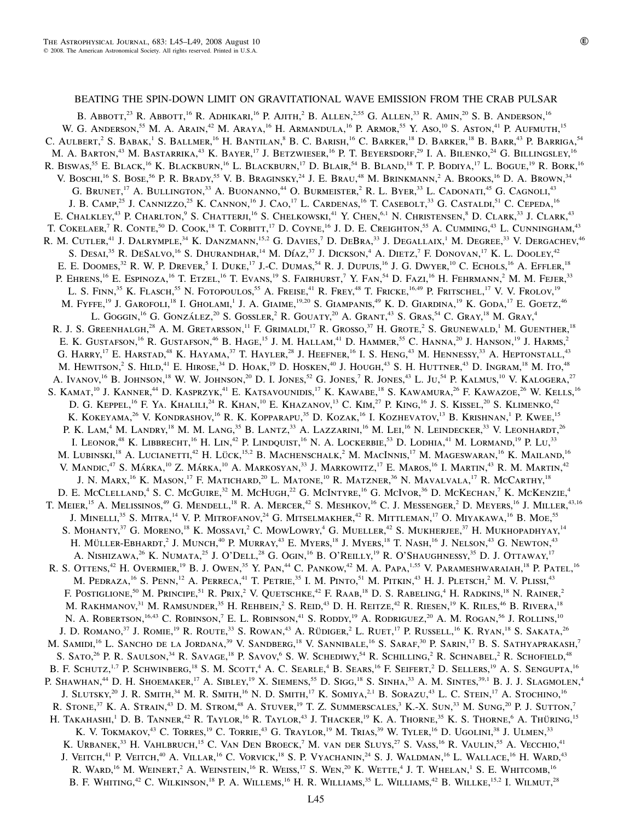# BEATING THE SPIN-DOWN LIMIT ON GRAVITATIONAL WAVE EMISSION FROM THE CRAB PULSAR

B. Abbott,<sup>23</sup> R. Abbott,<sup>16</sup> R. Adhikari,<sup>16</sup> P. Ajith,<sup>2</sup> B. Allen,<sup>2,55</sup> G. Allen,<sup>33</sup> R. Amin,<sup>20</sup> S. B. Anderson,<sup>16</sup> W. G. ANDERSON,<sup>55</sup> M. A. ARAIN,<sup>42</sup> M. ARAYA,<sup>16</sup> H. ARMANDULA,<sup>16</sup> P. ARMOR,<sup>55</sup> Y. Aso,<sup>10</sup> S. Aston,<sup>41</sup> P. Aufmuth,<sup>15</sup> C. AULBERT,<sup>2</sup> S. BABAK,<sup>1</sup> S. BALLMER,<sup>16</sup> H. BANTILAN,<sup>8</sup> B. C. BARISH,<sup>16</sup> C. BARKER,<sup>18</sup> D. BARKER,<sup>18</sup> B. BARR,<sup>43</sup> P. BARRIGA,<sup>54</sup> M. A. BARTON,<sup>43</sup> M. BASTARRIKA,<sup>43</sup> K. BAYER,<sup>17</sup> J. BETZWIESER,<sup>16</sup> P. T. BEYERSDORF,<sup>29</sup> I. A. BILENKO,<sup>24</sup> G. BILLINGSLEY,<sup>16</sup> R. BISWAS,<sup>55</sup> E. BLACK,<sup>16</sup> K. BLACKBURN,<sup>16</sup> L. BLACKBURN,<sup>17</sup> D. BLAIR,<sup>54</sup> B. BLAND,<sup>18</sup> T. P. BODIYA,<sup>17</sup> L. BOGUE,<sup>19</sup> R. BORK,<sup>16</sup> V. Boschi,<sup>16</sup> S. Bose,<sup>56</sup> P. R. Brady,<sup>55</sup> V. B. Braginsky,<sup>24</sup> J. E. Brau,<sup>48</sup> M. Brinkmann,<sup>2</sup> A. Brooks,<sup>16</sup> D. A. Brown,<sup>34</sup> G. BRUNET,<sup>17</sup> A. BULLINGTON,<sup>33</sup> A. BUONANNO,<sup>44</sup> O. BURMEISTER,<sup>2</sup> R. L. BYER,<sup>33</sup> L. CADONATI,<sup>45</sup> G. CAGNOLI,<sup>43</sup> J. B. CAMP,<sup>25</sup> J. CANNIZZO,<sup>25</sup> K. CANNON,<sup>16</sup> J. CAO,<sup>17</sup> L. CARDENAS,<sup>16</sup> T. CASEBOLT,<sup>33</sup> G. CASTALDI,<sup>51</sup> C. CEPEDA,<sup>16</sup> E. CHALKLEY,<sup>43</sup> P. CHARLTON,<sup>9</sup> S. CHATTERJI,<sup>16</sup> S. CHELKOWSKI,<sup>41</sup> Y. CHEN,<sup>6,1</sup> N. CHRISTENSEN,<sup>8</sup> D. CLARK,<sup>33</sup> J. CLARK,<sup>43</sup> T. COKELAER,<sup>7</sup> R. CONTE,<sup>50</sup> D. COOK,<sup>18</sup> T. CORBITT,<sup>17</sup> D. COYNE,<sup>16</sup> J. D. E. CREIGHTON,<sup>55</sup> A. CUMMING,<sup>43</sup> L. CUNNINGHAM,<sup>43</sup> R. M. CUTLER,<sup>41</sup> J. DALRYMPLE,<sup>34</sup> K. DANZMANN,<sup>15,2</sup> G. DAVIES,<sup>7</sup> D. DEBRA,<sup>33</sup> J. DEGALLAIX,<sup>1</sup> M. DEGREE,<sup>33</sup> V. DERGACHEV,<sup>46</sup> S. DESAI,<sup>35</sup> R. DESALVO,<sup>16</sup> S. DHURANDHAR,<sup>14</sup> M. DÍAZ,<sup>37</sup> J. DICKSON,<sup>4</sup> A. DIETZ,<sup>7</sup> F. DONOVAN,<sup>17</sup> K. L. DOOLEY,<sup>42</sup> E. E. DOOMES,<sup>32</sup> R. W. P. DREVER,<sup>5</sup> I. DUKE,<sup>17</sup> J.-C. DUMAS,<sup>54</sup> R. J. DUPUIS,<sup>16</sup> J. G. DWYER,<sup>10</sup> C. ECHOLS,<sup>16</sup> A. EFFLER,<sup>18</sup> P. EHRENS,<sup>16</sup> E. ESPINOZA,<sup>16</sup> T. ETZEL,<sup>16</sup> T. EVANS,<sup>19</sup> S. FAIRHURST,<sup>7</sup> Y. FAN,<sup>54</sup> D. FAZI,<sup>16</sup> H. FEHRMANN,<sup>2</sup> M. M. FEJER,<sup>33</sup> L. S. FINN,<sup>35</sup> K. FLASCH,<sup>55</sup> N. FOTOPOULOS,<sup>55</sup> A. FREISE,<sup>41</sup> R. FREY,<sup>48</sup> T. FRICKE,<sup>16,49</sup> P. FRITSCHEL,<sup>17</sup> V. V. FROLOV,<sup>19</sup> M. FYFFE,<sup>19</sup> J. GAROFOLI,<sup>18</sup> I. GHOLAMI,<sup>1</sup> J. A. GIAIME,<sup>19,20</sup> S. GIAMPANIS,<sup>49</sup> K. D. GIARDINA,<sup>19</sup> K. GODA,<sup>17</sup> E. GOETZ,<sup>46</sup> L. GOGGIN,<sup>16</sup> G. GONZÁLEZ,<sup>20</sup> S. GOSSLER,<sup>2</sup> R. GOUATY,<sup>20</sup> A. GRANT,<sup>43</sup> S. GRAS,<sup>54</sup> C. GRAY,<sup>18</sup> M. GRAY,<sup>4</sup> R. J. S. Greenhalgh,<sup>28</sup> A. M. Gretarsson,<sup>11</sup> F. Grimaldi,<sup>17</sup> R. Grosso,<sup>37</sup> H. Grote,<sup>2</sup> S. Grunewald,<sup>1</sup> M. Guenther,<sup>18</sup> E. K. GUSTAFSON,<sup>16</sup> R. GUSTAFSON,<sup>46</sup> B. HAGE,<sup>15</sup> J. M. HALLAM,<sup>41</sup> D. HAMMER,<sup>55</sup> C. HANNA,<sup>20</sup> J. HANSON,<sup>19</sup> J. HARMS,<sup>2</sup> G. HARRY,<sup>17</sup> E. HARSTAD,<sup>48</sup> K. HAYAMA,<sup>37</sup> T. HAYLER,<sup>28</sup> J. HEEFNER,<sup>16</sup> I. S. HENG,<sup>43</sup> M. HENNESSY,<sup>33</sup> A. HEPTONSTALL,<sup>43</sup> M. HEWITSON,<sup>2</sup> S. HILD,<sup>41</sup> E. HIROSE,<sup>34</sup> D. HOAK,<sup>19</sup> D. HOSKEN,<sup>40</sup> J. HOUGH,<sup>43</sup> S. H. HUTTNER,<sup>43</sup> D. INGRAM,<sup>18</sup> M. ITO,<sup>48</sup> A. IVANOV,<sup>16</sup> B. JOHNSON,<sup>18</sup> W. W. JOHNSON,<sup>20</sup> D. I. JONES,<sup>52</sup> G. JONES,<sup>7</sup> R. JONES,<sup>43</sup> L. Ju,<sup>54</sup> P. KALMUS,<sup>10</sup> V. KALOGERA,<sup>27</sup> S. KAMAT,<sup>10</sup> J. KANNER,<sup>44</sup> D. KASPRZYK,<sup>41</sup> E. KATSAVOUNIDIS,<sup>17</sup> K. KAWABE,<sup>18</sup> S. KAWAMURA,<sup>26</sup> F. KAWAZOE,<sup>26</sup> W. KELLS,<sup>16</sup> D. G. KEPPEL,<sup>16</sup> F. YA. KHALILI,<sup>24</sup> R. KHAN,<sup>10</sup> E. KHAZANOV,<sup>13</sup> C. KIM,<sup>27</sup> P. KING,<sup>16</sup> J. S. KISSEL,<sup>20</sup> S. KLIMENKO,<sup>42</sup> K. KOKEYAMA,<sup>26</sup> V. KONDRASHOV,<sup>16</sup> R. K. KOPPARAPU,<sup>35</sup> D. KOZAK,<sup>16</sup> I. KOZHEVATOV,<sup>13</sup> B. KRISHNAN,<sup>1</sup> P. KWEE,<sup>15</sup> P. K. Lam,<sup>4</sup> M. Landry,<sup>18</sup> M. M. Lang,<sup>35</sup> B. Lantz,<sup>33</sup> A. Lazzarini,<sup>16</sup> M. Lei,<sup>16</sup> N. Leindecker,<sup>33</sup> V. Leonhardt,<sup>26</sup> I. LEONOR,<sup>48</sup> K. LIBBRECHT,<sup>16</sup> H. LIN,<sup>42</sup> P. LINDQUIST,<sup>16</sup> N. A. LOCKERBIE,<sup>53</sup> D. LODHIA,<sup>41</sup> M. LORMAND,<sup>19</sup> P. Lu,<sup>33</sup> M. LUBINSKI,<sup>18</sup> A. LUCIANETTI,<sup>42</sup> H. LÜCK,<sup>15,2</sup> B. MACHENSCHALK,<sup>2</sup> M. MACINNIS,<sup>17</sup> M. MAGESWARAN,<sup>16</sup> K. MAILAND,<sup>16</sup> V. MANDIC,<sup>47</sup> S. MÁRKA,<sup>10</sup> Z. MÁRKA,<sup>10</sup> A. MARKOSYAN,<sup>33</sup> J. MARKOWITZ,<sup>17</sup> E. MAROS,<sup>16</sup> I. MARTIN,<sup>43</sup> R. M. MARTIN,<sup>42</sup> J. N. MARX,<sup>16</sup> K. MASON,<sup>17</sup> F. MATICHARD,<sup>20</sup> L. MATONE,<sup>10</sup> R. MATZNER,<sup>36</sup> N. MAVALVALA,<sup>17</sup> R. McCARTHY,<sup>18</sup> D. E. McCLELLAND,<sup>4</sup> S. C. McGUIRE,<sup>32</sup> M. McHugh,<sup>22</sup> G. McINTYRE,<sup>16</sup> G. McIvor,<sup>36</sup> D. McKechan,<sup>7</sup> K. McKenzie,<sup>4</sup> T. MEIER,<sup>15</sup> A. MELISSINOS,<sup>49</sup> G. MENDELL,<sup>18</sup> R. A. MERCER,<sup>42</sup> S. MESHKOV,<sup>16</sup> C. J. MESSENGER,<sup>2</sup> D. MEYERS,<sup>16</sup> J. MILLER,<sup>43,16</sup> J. Minelli,<sup>35</sup> S. Mitra,<sup>14</sup> V. P. Mitrofanov,<sup>24</sup> G. Mitselmakher,<sup>42</sup> R. Mittleman,<sup>17</sup> O. Miyakawa,<sup>16</sup> B. Moe,<sup>55</sup> S. MOHANTY,<sup>37</sup> G. MORENO,<sup>18</sup> K. MOSSAVI,<sup>2</sup> C. MOWLOWRY,<sup>4</sup> G. MUELLER,<sup>42</sup> S. MUKHERJEE,<sup>37</sup> H. MUKHOPADHYAY,<sup>14</sup> H. MÜLLER-EBHARDT,<sup>2</sup> J. MUNCH,<sup>40</sup> P. MURRAY,<sup>43</sup> E. MYERS,<sup>18</sup> J. MYERS,<sup>18</sup> T. NASH,<sup>16</sup> J. NELSON,<sup>43</sup> G. NEWTON,<sup>43</sup> A. NISHIZAWA,<sup>26</sup> K. NUMATA,<sup>25</sup> J. O'DELL,<sup>28</sup> G. OGIN,<sup>16</sup> B. O'REILLY,<sup>19</sup> R. O'SHAUGHNESSY,<sup>35</sup> D. J. OTTAWAY,<sup>17</sup> R. S. OTTENS,<sup>42</sup> H. OVERMIER,<sup>19</sup> B. J. OWEN,<sup>35</sup> Y. PAN,<sup>44</sup> C. PANKOW,<sup>42</sup> M. A. PAPA,<sup>1,55</sup> V. PARAMESHWARAIAH,<sup>18</sup> P. PATEL,<sup>16</sup> M. PEDRAZA,<sup>16</sup> S. PENN,<sup>12</sup> A. PERRECA,<sup>41</sup> T. PETRIE,<sup>35</sup> I. M. PINTO,<sup>51</sup> M. PITKIN,<sup>43</sup> H. J. PLETSCH,<sup>2</sup> M. V. PLISSI,<sup>43</sup> F. POSTIGLIONE,<sup>50</sup> M. PRINCIPE,<sup>51</sup> R. PRIX,<sup>2</sup> V. QUETSCHKE,<sup>42</sup> F. RAAB,<sup>18</sup> D. S. RABELING,<sup>4</sup> H. RADKINS,<sup>18</sup> N. RAINER,<sup>2</sup> M. RAKHMANOV,<sup>31</sup> M. RAMSUNDER,<sup>35</sup> H. REHBEIN,<sup>2</sup> S. REID,<sup>43</sup> D. H. REITZE,<sup>42</sup> R. RIESEN,<sup>19</sup> K. RILES,<sup>46</sup> B. RIVERA,<sup>18</sup> N. A. ROBERTSON,<sup>16,43</sup> C. ROBINSON,<sup>7</sup> E. L. ROBINSON,<sup>41</sup> S. RODDY,<sup>19</sup> A. RODRIGUEZ,<sup>20</sup> A. M. ROGAN,<sup>56</sup> J. ROLLINS,<sup>10</sup> J. D. ROMANO,<sup>37</sup> J. ROMIE,<sup>19</sup> R. ROUTE,<sup>33</sup> S. ROWAN,<sup>43</sup> A. RÜDIGER,<sup>2</sup> L. RUET,<sup>17</sup> P. RUSSELL,<sup>16</sup> K. RYAN,<sup>18</sup> S. SAKATA,<sup>26</sup> M. SAMIDI,<sup>16</sup> L. SANCHO DE LA JORDANA,<sup>39</sup> V. SANDBERG,<sup>18</sup> V. SANNIBALE,<sup>16</sup> S. SARAF,<sup>30</sup> P. SARIN,<sup>17</sup> B. S. SATHYAPRAKASH,<sup>7</sup> S. SATO,<sup>26</sup> P. R. SAULSON,<sup>34</sup> R. SAVAGE,<sup>18</sup> P. SAVOV,<sup>6</sup> S. W. SCHEDIWY,<sup>54</sup> R. SCHILLING,<sup>2</sup> R. SCHNABEL,<sup>2</sup> R. SCHOFIELD,<sup>48</sup> B. F. SCHUTZ,<sup>1,7</sup> P. SCHWINBERG,<sup>18</sup> S. M. SCOTT,<sup>4</sup> A. C. SEARLE,<sup>4</sup> B. SEARS,<sup>16</sup> F. SEIFERT,<sup>2</sup> D. SELLERS,<sup>19</sup> A. S. SENGUPTA,<sup>16</sup> P. SHAWHAN,<sup>44</sup> D. H. SHOEMAKER,<sup>17</sup> A. SIBLEY,<sup>19</sup> X. SIEMENS,<sup>55</sup> D. SIGG,<sup>18</sup> S. SINHA,<sup>33</sup> A. M. SINTES,<sup>39,1</sup> B. J. J. SLAGMOLEN,<sup>4</sup> J. SLUTSKY,<sup>20</sup> J. R. SMITH,<sup>34</sup> M. R. SMITH,<sup>16</sup> N. D. SMITH,<sup>17</sup> K. SOMIYA,<sup>2,1</sup> B. SORAZU,<sup>43</sup> L. C. STEIN,<sup>17</sup> A. STOCHINO,<sup>16</sup> R. STONE,<sup>37</sup> K. A. STRAIN,<sup>43</sup> D. M. STROM,<sup>48</sup> A. STUVER,<sup>19</sup> T. Z. SUMMERSCALES,<sup>3</sup> K.-X. SUN,<sup>33</sup> M. SUNG,<sup>20</sup> P. J. SUTTON,<sup>7</sup> H. TAKAHASHI,<sup>1</sup> D. B. TANNER,<sup>42</sup> R. TAYLOR,<sup>16</sup> R. TAYLOR,<sup>43</sup> J. THACKER,<sup>19</sup> K. A. THORNE,<sup>35</sup> K. S. THORNE,<sup>6</sup> A. THÜRING,<sup>15</sup> K. V. TOKMAKOV,<sup>43</sup> C. TORRES,<sup>19</sup> C. TORRIE,<sup>43</sup> G. TRAYLOR,<sup>19</sup> M. TRIAS,<sup>39</sup> W. TYLER,<sup>16</sup> D. UGOLINI,<sup>38</sup> J. ULMEN,<sup>33</sup> K. Urbanek,<sup>33</sup> H. Vahlbruch,<sup>15</sup> C. Van Den Broeck,<sup>7</sup> M. van der Sluys,<sup>27</sup> S. Vass,<sup>16</sup> R. Vaulin,<sup>55</sup> A. Vecchio,<sup>41</sup> J. VEITCH,<sup>41</sup> P. VEITCH,<sup>40</sup> A. VILLAR,<sup>16</sup> C. VORVICK,<sup>18</sup> S. P. VYACHANIN,<sup>24</sup> S. J. WALDMAN,<sup>16</sup> L. WALLACE,<sup>16</sup> H. WARD,<sup>43</sup> R. WARD,<sup>16</sup> M. WEINERT,<sup>2</sup> A. WEINSTEIN,<sup>16</sup> R. WEISS,<sup>17</sup> S. WEN,<sup>20</sup> K. WETTE,<sup>4</sup> J. T. WHELAN,<sup>1</sup> S. E. WHITCOMB,<sup>16</sup> B. F. WHITING,<sup>42</sup> C. WILKINSON,<sup>18</sup> P. A. WILLEMS,<sup>16</sup> H. R. WILLIAMS,<sup>35</sup> L. WILLIAMS,<sup>42</sup> B. WILLKE,<sup>15,2</sup> I. WILMUT,<sup>28</sup>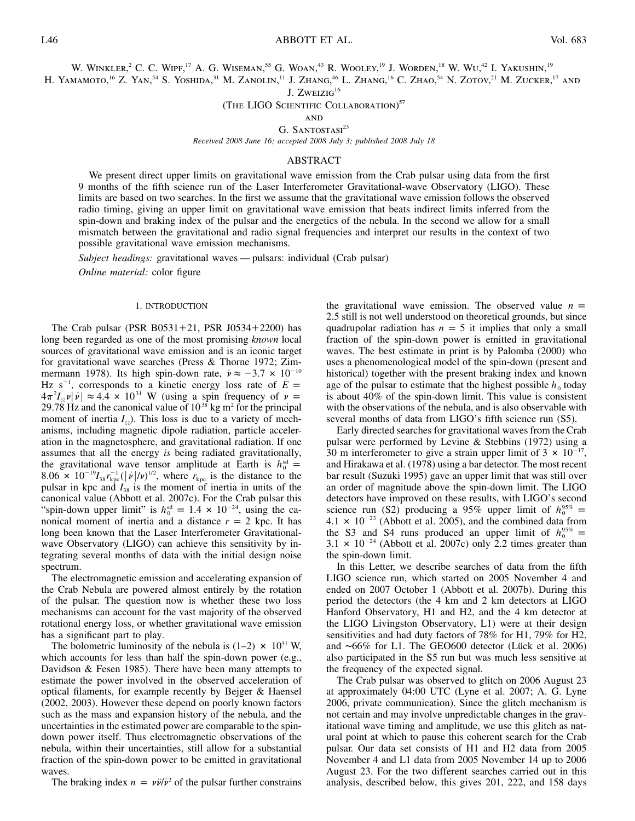W. WINKLER,<sup>2</sup> C. C. WIPF,<sup>17</sup> A. G. WISEMAN,<sup>55</sup> G. WOAN,<sup>43</sup> R. WOOLEY,<sup>19</sup> J. WORDEN,<sup>18</sup> W. WU,<sup>42</sup> I. YAKUSHIN,<sup>19</sup>

H. YAMAMOTO,<sup>16</sup> Z. YAN,<sup>54</sup> S. YOSHIDA,<sup>31</sup> M. ZANOLIN,<sup>11</sup> J. ZHANG,<sup>46</sup> L. ZHANG,<sup>16</sup> C. ZHAO,<sup>54</sup> N. ZOTOV,<sup>21</sup> M. ZUCKER,<sup>17</sup> AND

J.  $ZwEIZIG<sup>16</sup>$ 

(THE LIGO SCIENTIFIC COLLABORATION)<sup>57</sup>

**AND** 

G. SANTOSTASI<sup>23</sup>

*Received 2008 June 16; accepted 2008 July 3; published 2008 July 18*

## ABSTRACT

We present direct upper limits on gravitational wave emission from the Crab pulsar using data from the first 9 months of the fifth science run of the Laser Interferometer Gravitational-wave Observatory (LIGO). These limits are based on two searches. In the first we assume that the gravitational wave emission follows the observed radio timing, giving an upper limit on gravitational wave emission that beats indirect limits inferred from the spin-down and braking index of the pulsar and the energetics of the nebula. In the second we allow for a small mismatch between the gravitational and radio signal frequencies and interpret our results in the context of two possible gravitational wave emission mechanisms.

*Subject headings:* gravitational waves — pulsars: individual (Crab pulsar)

*Online material:* color figure

## 1. INTRODUCTION

The Crab pulsar (PSR B0531+21, PSR J0534+2200) has long been regarded as one of the most promising *known* local sources of gravitational wave emission and is an iconic target for gravitational wave searches (Press & Thorne 1972; Zimmermann 1978). Its high spin-down rate,  $\dot{v} \approx -3.7 \times 10^{-10}$ Hz s<sup>-1</sup>, corresponds to a kinetic energy loss rate of  $\dot{E}$  =  $4\pi^2 I_{\nu}$   $|\dot{\nu}| \approx 4.4 \times 10^{31}$  W (using a spin frequency of  $\nu =$ 29.78 Hz and the canonical value of  $10^{38}$  kg m<sup>2</sup> for the principal moment of inertia  $I_{7}$ . This loss is due to a variety of mechanisms, including magnetic dipole radiation, particle acceleration in the magnetosphere, and gravitational radiation. If one assumes that all the energy *is* being radiated gravitationally, the gravitational wave tensor amplitude at Earth is  $h_0^{\text{sd}} =$ 8.06  $\times$  10<sup>-19</sup>I<sub>38</sub> $r_{\rm kpc}^{-1}$  ( $|\dot{v}|/v$ )<sup>1/2</sup>, where  $r_{\rm kpc}$  is the distance to the pulsar in kpc and  $I_{38}$  is the moment of inertia in units of the canonical value (Abbott et al. 2007c). For the Crab pulsar this "spin-down upper limit" is  $h_0^{\text{sd}} = 1.4 \times 10^{-24}$ , using the canonical moment of inertia and a distance  $r = 2$  kpc. It has long been known that the Laser Interferometer Gravitationalwave Observatory (LIGO) can achieve this sensitivity by integrating several months of data with the initial design noise spectrum.

The electromagnetic emission and accelerating expansion of the Crab Nebula are powered almost entirely by the rotation of the pulsar. The question now is whether these two loss mechanisms can account for the vast majority of the observed rotational energy loss, or whether gravitational wave emission has a significant part to play.

The bolometric luminosity of the nebula is  $(1-2) \times 10^{31}$  W, which accounts for less than half the spin-down power (e.g., Davidson & Fesen 1985). There have been many attempts to estimate the power involved in the observed acceleration of optical filaments, for example recently by Bejger & Haensel (2002, 2003). However these depend on poorly known factors such as the mass and expansion history of the nebula, and the uncertainties in the estimated power are comparable to the spindown power itself. Thus electromagnetic observations of the nebula, within their uncertainties, still allow for a substantial fraction of the spin-down power to be emitted in gravitational waves.

The braking index  $n = v\ddot{v}/\dot{v}^2$  of the pulsar further constrains

the gravitational wave emission. The observed value  $n =$ 2.5 still is not well understood on theoretical grounds, but since quadrupolar radiation has  $n = 5$  it implies that only a small fraction of the spin-down power is emitted in gravitational waves. The best estimate in print is by Palomba (2000) who uses a phenomenological model of the spin-down (present and historical) together with the present braking index and known age of the pulsar to estimate that the highest possible  $h_0$  today is about 40% of the spin-down limit. This value is consistent with the observations of the nebula, and is also observable with several months of data from LIGO's fifth science run (S5).

Early directed searches for gravitational waves from the Crab pulsar were performed by Levine & Stebbins (1972) using a 30 m interferometer to give a strain upper limit of  $3 \times 10^{-17}$ , and Hirakawa et al. (1978) using a bar detector. The most recent bar result (Suzuki 1995) gave an upper limit that was still over an order of magnitude above the spin-down limit. The LIGO detectors have improved on these results, with LIGO's second science run (S2) producing a 95% upper limit of  $h_0^{95\%}$  =  $4.1 \times 10^{-23}$  (Abbott et al. 2005), and the combined data from the S3 and S4 runs produced an upper limit of  $h_0^{95\%}$  =  $3.1 \times 10^{-24}$  (Abbott et al. 2007c) only 2.2 times greater than the spin-down limit.

In this Letter, we describe searches of data from the fifth LIGO science run, which started on 2005 November 4 and ended on 2007 October 1 (Abbott et al. 2007b). During this period the detectors (the 4 km and 2 km detectors at LIGO Hanford Observatory, H1 and H2, and the 4 km detector at the LIGO Livingston Observatory, L1) were at their design sensitivities and had duty factors of  $78\%$  for H1,  $79\%$  for H2, and ∼66% for L1. The GEO600 detector (Lück et al. 2006) also participated in the S5 run but was much less sensitive at the frequency of the expected signal.

The Crab pulsar was observed to glitch on 2006 August 23 at approximately 04:00 UTC (Lyne et al. 2007; A. G. Lyne 2006, private communication). Since the glitch mechanism is not certain and may involve unpredictable changes in the gravitational wave timing and amplitude, we use this glitch as natural point at which to pause this coherent search for the Crab pulsar. Our data set consists of H1 and H2 data from 2005 November 4 and L1 data from 2005 November 14 up to 2006 August 23. For the two different searches carried out in this analysis, described below, this gives 201, 222, and 158 days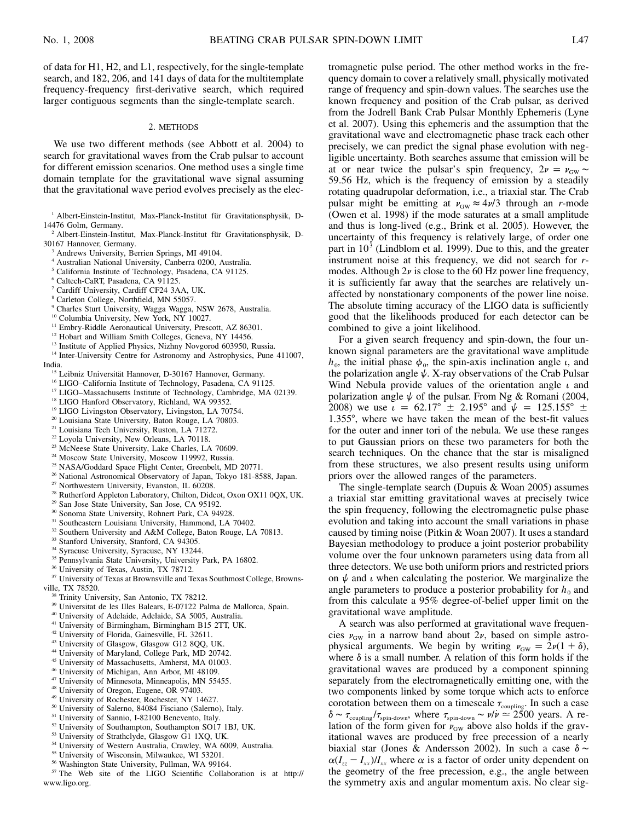of data for H1, H2, and L1, respectively, for the single-template search, and 182, 206, and 141 days of data for the multitemplate frequency-frequency first-derivative search, which required larger contiguous segments than the single-template search.

#### 2. METHODS

We use two different methods (see Abbott et al. 2004) to search for gravitational waves from the Crab pulsar to account for different emission scenarios. One method uses a single time domain template for the gravitational wave signal assuming that the gravitational wave period evolves precisely as the elec-

- <sup>2</sup> Albert-Einstein-Institut, Max-Planck-Institut für Gravitationsphysik, D-30167 Hannover, Germany.
	- <sup>3</sup> Andrews University, Berrien Springs, MI 49104.
	- <sup>4</sup> Australian National University, Canberra 0200, Australia.
	- <sup>5</sup> California Institute of Technology, Pasadena, CA 91125.
	- <sup>6</sup> Caltech-CaRT, Pasadena, CA 91125.
	- <sup>7</sup> Cardiff University, Cardiff CF24 3AA, UK.
	- <sup>8</sup> Carleton College, Northfield, MN 55057.
	- <sup>9</sup> Charles Sturt University, Wagga Wagga, NSW 2678, Australia.
	- <sup>10</sup> Columbia University, New York, NY 10027.
	- <sup>11</sup> Embry-Riddle Aeronautical University, Prescott, AZ 86301.
	- <sup>12</sup> Hobart and William Smith Colleges, Geneva, NY 14456.
	- <sup>13</sup> Institute of Applied Physics, Nizhny Novgorod 603950, Russia.
	- <sup>14</sup> Inter-University Centre for Astronomy and Astrophysics, Pune 411007,
- India.
	- <sup>15</sup> Leibniz Universität Hannover, D-30167 Hannover, Germany.
	- <sup>16</sup> LIGO-California Institute of Technology, Pasadena, CA 91125.
	- <sup>17</sup> LIGO-Massachusetts Institute of Technology, Cambridge, MA 02139.
	- <sup>18</sup> LIGO Hanford Observatory, Richland, WA 99352.
	- <sup>19</sup> LIGO Livingston Observatory, Livingston, LA 70754.
	- <sup>20</sup> Louisiana State University, Baton Rouge, LA 70803.
	- <sup>21</sup> Louisiana Tech University, Ruston, LA 71272.
	- <sup>22</sup> Loyola University, New Orleans, LA 70118.
	- <sup>23</sup> McNeese State University, Lake Charles, LA 70609.
	- <sup>24</sup> Moscow State University, Moscow 119992, Russia.
	- <sup>25</sup> NASA/Goddard Space Flight Center, Greenbelt, MD 20771.
	- <sup>26</sup> National Astronomical Observatory of Japan, Tokyo 181-8588, Japan.
	- <sup>27</sup> Northwestern University, Evanston, IL 60208.
	- <sup>28</sup> Rutherford Appleton Laboratory, Chilton, Didcot, Oxon OX11 0QX, UK.
	- <sup>29</sup> San Jose State University, San Jose, CA 95192.
	- <sup>30</sup> Sonoma State University, Rohnert Park, CA 94928.
	- <sup>31</sup> Southeastern Louisiana University, Hammond, LA 70402.
	- <sup>32</sup> Southern University and A&M College, Baton Rouge, LA 70813.
	- <sup>33</sup> Stanford University, Stanford, CA 94305.
	- <sup>34</sup> Syracuse University, Syracuse, NY 13244.
	- <sup>35</sup> Pennsylvania State University, University Park, PA 16802.
	- <sup>36</sup> University of Texas, Austin, TX 78712.
	- <sup>37</sup> University of Texas at Brownsville and Texas Southmost College, Browns-
- ville, TX 78520.
	- <sup>38</sup> Trinity University, San Antonio, TX 78212.
	- <sup>39</sup> Universitat de les Illes Balears, E-07122 Palma de Mallorca, Spain.
	- <sup>40</sup> University of Adelaide, Adelaide, SA 5005, Australia.
	- <sup>41</sup> University of Birmingham, Birmingham B15 2TT, UK.
	- <sup>42</sup> University of Florida, Gainesville, FL 32611.
	- <sup>43</sup> University of Glasgow, Glasgow G12 8QQ, UK.
	- <sup>44</sup> University of Maryland, College Park, MD 20742.
	- <sup>45</sup> University of Massachusetts, Amherst, MA 01003.
	- <sup>46</sup> University of Michigan, Ann Arbor, MI 48109.
	- <sup>47</sup> University of Minnesota, Minneapolis, MN 55455.
	- <sup>48</sup> University of Oregon, Eugene, OR 97403.
	- <sup>49</sup> University of Rochester, Rochester, NY 14627.
	- <sup>50</sup> University of Salerno, 84084 Fisciano (Salerno), Italy.
	- <sup>51</sup> University of Sannio, I-82100 Benevento, Italy.
	- <sup>52</sup> University of Southampton, Southampton SO17 1BJ, UK.
	- <sup>53</sup> University of Strathclyde, Glasgow G1 1XQ, UK.
	- <sup>54</sup> University of Western Australia, Crawley, WA 6009, Australia.
	- <sup>55</sup> University of Wisconsin, Milwaukee, WI 53201.
	- <sup>56</sup> Washington State University, Pullman, WA 99164.

<sup>57</sup> The Web site of the LIGO Scientific Collaboration is at http:// www.ligo.org.

tromagnetic pulse period. The other method works in the frequency domain to cover a relatively small, physically motivated range of frequency and spin-down values. The searches use the known frequency and position of the Crab pulsar, as derived from the Jodrell Bank Crab Pulsar Monthly Ephemeris (Lyne et al. 2007). Using this ephemeris and the assumption that the gravitational wave and electromagnetic phase track each other precisely, we can predict the signal phase evolution with negligible uncertainty. Both searches assume that emission will be at or near twice the pulsar's spin frequency,  $2\nu = \nu_{\text{GW}} \sim$ 59.56 Hz, which is the frequency of emission by a steadily rotating quadrupolar deformation, i.e., a triaxial star. The Crab pulsar might be emitting at  $v_{\text{GW}} \approx 4\nu/3$  through an *r*-mode (Owen et al. 1998) if the mode saturates at a small amplitude and thus is long-lived (e.g., Brink et al. 2005). However, the uncertainty of this frequency is relatively large, of order one part in  $10<sup>3</sup>$  (Lindblom et al. 1999). Due to this, and the greater instrument noise at this frequency, we did not search for *r*modes. Although  $2\nu$  is close to the 60 Hz power line frequency, it is sufficiently far away that the searches are relatively unaffected by nonstationary components of the power line noise. The absolute timing accuracy of the LIGO data is sufficiently good that the likelihoods produced for each detector can be combined to give a joint likelihood.

For a given search frequency and spin-down, the four unknown signal parameters are the gravitational wave amplitude  $h_0$ , the initial phase  $\phi_0$ , the spin-axis inclination angle  $\iota$ , and the polarization angle  $\psi$ . X-ray observations of the Crab Pulsar Wind Nebula provide values of the orientation angle  $\iota$  and polarization angle  $\psi$  of the pulsar. From Ng & Romani (2004, 2008) we use  $\iota = 62.17^{\circ} \pm 2.195^{\circ}$  and  $\psi = 125.155^{\circ} \pm 1.05^{\circ}$ 1.355°, where we have taken the mean of the best-fit values for the outer and inner tori of the nebula. We use these ranges to put Gaussian priors on these two parameters for both the search techniques. On the chance that the star is misaligned from these structures, we also present results using uniform priors over the allowed ranges of the parameters.

The single-template search (Dupuis & Woan 2005) assumes a triaxial star emitting gravitational waves at precisely twice the spin frequency, following the electromagnetic pulse phase evolution and taking into account the small variations in phase caused by timing noise (Pitkin & Woan 2007). It uses a standard Bayesian methodology to produce a joint posterior probability volume over the four unknown parameters using data from all three detectors. We use both uniform priors and restricted priors on  $\psi$  and  $\iota$  when calculating the posterior. We marginalize the angle parameters to produce a posterior probability for  $h_0$  and from this calculate a 95% degree-of-belief upper limit on the gravitational wave amplitude.

A search was also performed at gravitational wave frequencies  $v_{\text{GW}}$  in a narrow band about  $2v$ , based on simple astrophysical arguments. We begin by writing  $v_{\text{GW}} = 2v(1 + \delta)$ , where  $\delta$  is a small number. A relation of this form holds if the gravitational waves are produced by a component spinning separately from the electromagnetically emitting one, with the two components linked by some torque which acts to enforce corotation between them on a timescale  $\tau_{\text{coupling}}$ . In such a case  $\delta \sim \tau_{\text{coupling}}/\tau_{\text{spin-down}}$ , where  $\tau_{\text{spin-down}} \sim \nu/\nu \approx 2500$  years. A relation of the form given for  $v_{\text{GW}}$  above also holds if the gravitational waves are produced by free precession of a nearly biaxial star (Jones & Andersson 2002). In such a case  $\delta \sim$  $\alpha (I_{zz} - I_{xx})/I_{xx}$  where  $\alpha$  is a factor of order unity dependent on the geometry of the free precession, e.g., the angle between the symmetry axis and angular momentum axis. No clear sig-

<sup>&</sup>lt;sup>1</sup> Albert-Einstein-Institut, Max-Planck-Institut für Gravitationsphysik, D-14476 Golm, Germany.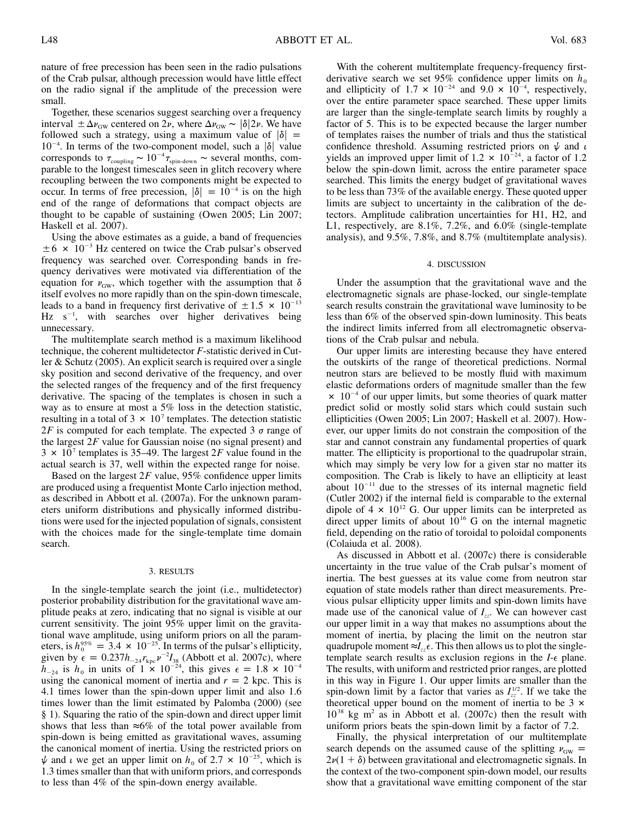nature of free precession has been seen in the radio pulsations of the Crab pulsar, although precession would have little effect on the radio signal if the amplitude of the precession were small.

Together, these scenarios suggest searching over a frequency interval  $\pm \Delta v_{\rm GW}$  centered on  $2\nu$ , where  $\Delta v_{\rm GW} \sim |\delta| \, 2\nu$ . We have followed such a strategy, using a maximum value of  $|\delta|$  =  $10^{-4}$ . In terms of the two-component model, such a  $|\delta|$  value corresponds to  $\tau_{\text{coupling}} \sim 10^{-4} \tau_{\text{spin-down}} \sim \text{several months, com-}$ parable to the longest timescales seen in glitch recovery where recoupling between the two components might be expected to occur. In terms of free precession,  $|\delta| = 10^{-4}$  is on the high end of the range of deformations that compact objects are thought to be capable of sustaining (Owen 2005; Lin 2007; Haskell et al. 2007).

Using the above estimates as a guide, a band of frequencies  $\pm 6 \times 10^{-3}$  Hz centered on twice the Crab pulsar's observed frequency was searched over. Corresponding bands in frequency derivatives were motivated via differentiation of the equation for  $v_{\text{GW}}$ , which together with the assumption that  $\delta$ itself evolves no more rapidly than on the spin-down timescale, leads to a band in frequency first derivative of  $\pm 1.5 \times 10^{-13}$  $Hz$  s<sup>-1</sup>, with searches over higher derivatives being unnecessary.

The multitemplate search method is a maximum likelihood technique, the coherent multidetector *F*-statistic derived in Cutler & Schutz (2005). An explicit search is required over a single sky position and second derivative of the frequency, and over the selected ranges of the frequency and of the first frequency derivative. The spacing of the templates is chosen in such a way as to ensure at most a 5% loss in the detection statistic, resulting in a total of  $3 \times 10^7$  templates. The detection statistic  $2F$  is computed for each template. The expected 3  $\sigma$  range of the largest  $2F$  value for Gaussian noise (no signal present) and  $3 \times 10^7$  templates is 35–49. The largest 2F value found in the actual search is 37, well within the expected range for noise.

Based on the largest  $2F$  value, 95% confidence upper limits are produced using a frequentist Monte Carlo injection method, as described in Abbott et al. (2007a). For the unknown parameters uniform distributions and physically informed distributions were used for the injected population of signals, consistent with the choices made for the single-template time domain search.

## 3. RESULTS

In the single-template search the joint (i.e., multidetector) posterior probability distribution for the gravitational wave amplitude peaks at zero, indicating that no signal is visible at our current sensitivity. The joint 95% upper limit on the gravitational wave amplitude, using uniform priors on all the parameters, is  $h_0^{95\%} = 3.4 \times 10^{-25}$ . In terms of the pulsar's ellipticity, given by  $\epsilon = 0.237 h_{-24} r_{kpc} v^{-2} I_{38}$  (Abbott et al. 2007c), where  $\bar{h}_{-24}$  is  $h_0$  in units of  $1 \times 10^{-24}$ , this gives  $\epsilon = 1.8 \times 10^{-4}$ using the canonical moment of inertia and  $r = 2$  kpc. This is 4.1 times lower than the spin-down upper limit and also 1.6 times lower than the limit estimated by Palomba (2000) (see § 1). Squaring the ratio of the spin-down and direct upper limit shows that less than  $\approx 6\%$  of the total power available from spin-down is being emitted as gravitational waves, assuming the canonical moment of inertia. Using the restricted priors on  $\psi$  and *i* we get an upper limit on  $h_0$  of 2.7  $\times$  10<sup>-25</sup>, which is 1.3 times smaller than that with uniform priors, and corresponds to less than 4% of the spin-down energy available.

With the coherent multitemplate frequency-frequency firstderivative search we set  $95\%$  confidence upper limits on  $h_0$ and ellipticity of  $1.7 \times 10^{-24}$  and  $9.0 \times 10^{-4}$ , respectively, over the entire parameter space searched. These upper limits are larger than the single-template search limits by roughly a factor of 5. This is to be expected because the larger number of templates raises the number of trials and thus the statistical confidence threshold. Assuming restricted priors on  $\psi$  and  $\iota$ yields an improved upper limit of 1.2  $\times$  10<sup>-24</sup>, a factor of 1.2 below the spin-down limit, across the entire parameter space searched. This limits the energy budget of gravitational waves to be less than 73% of the available energy. These quoted upper limits are subject to uncertainty in the calibration of the detectors. Amplitude calibration uncertainties for H1, H2, and L1, respectively, are 8.1%, 7.2%, and 6.0% (single-template analysis), and 9.5%, 7.8%, and 8.7% (multitemplate analysis).

#### 4. DISCUSSION

Under the assumption that the gravitational wave and the electromagnetic signals are phase-locked, our single-template search results constrain the gravitational wave luminosity to be less than 6% of the observed spin-down luminosity. This beats the indirect limits inferred from all electromagnetic observations of the Crab pulsar and nebula.

Our upper limits are interesting because they have entered the outskirts of the range of theoretical predictions. Normal neutron stars are believed to be mostly fluid with maximum elastic deformations orders of magnitude smaller than the few  $\times$  10<sup>-4</sup> of our upper limits, but some theories of quark matter predict solid or mostly solid stars which could sustain such ellipticities (Owen 2005; Lin 2007; Haskell et al. 2007). However, our upper limits do not constrain the composition of the star and cannot constrain any fundamental properties of quark matter. The ellipticity is proportional to the quadrupolar strain, which may simply be very low for a given star no matter its composition. The Crab is likely to have an ellipticity at least about  $10^{-11}$  due to the stresses of its internal magnetic field (Cutler 2002) if the internal field is comparable to the external dipole of  $4 \times 10^{12}$  G. Our upper limits can be interpreted as direct upper limits of about  $10^{16}$  G on the internal magnetic field, depending on the ratio of toroidal to poloidal components (Colaiuda et al. 2008).

As discussed in Abbott et al. (2007c) there is considerable uncertainty in the true value of the Crab pulsar's moment of inertia. The best guesses at its value come from neutron star equation of state models rather than direct measurements. Previous pulsar ellipticity upper limits and spin-down limits have made use of the canonical value of  $I_{zz}$ . We can however cast our upper limit in a way that makes no assumptions about the moment of inertia, by placing the limit on the neutron star quadrupole moment  $\approx I_{zz} \epsilon$ . This then allows us to plot the singletemplate search results as exclusion regions in the  $I$ - $\epsilon$  plane. The results, with uniform and restricted prior ranges, are plotted in this way in Figure 1. Our upper limits are smaller than the spin-down limit by a factor that varies as  $I_{zz}^{1/2}$ . If we take the theoretical upper bound on the moment of inertia to be  $3 \times$  $10^{38}$  kg m<sup>2</sup> as in Abbott et al. (2007c) then the result with uniform priors beats the spin-down limit by a factor of 7.2.

Finally, the physical interpretation of our multitemplate search depends on the assumed cause of the splitting  $v_{\text{GW}} =$  $2\nu(1 + \delta)$  between gravitational and electromagnetic signals. In the context of the two-component spin-down model, our results show that a gravitational wave emitting component of the star